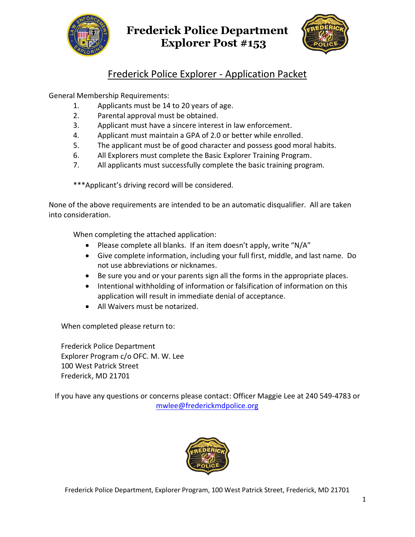



## Frederick Police Explorer - Application Packet

General Membership Requirements:

- 1. Applicants must be 14 to 20 years of age.
- 2. Parental approval must be obtained.
- 3. Applicant must have a sincere interest in law enforcement.
- 4. Applicant must maintain a GPA of 2.0 or better while enrolled.
- 5. The applicant must be of good character and possess good moral habits.
- 6. All Explorers must complete the Basic Explorer Training Program.
- 7. All applicants must successfully complete the basic training program.

\*\*\*Applicant's driving record will be considered.

None of the above requirements are intended to be an automatic disqualifier. All are taken into consideration.

When completing the attached application:

- Please complete all blanks. If an item doesn't apply, write "N/A"
- Give complete information, including your full first, middle, and last name. Do not use abbreviations or nicknames.
- Be sure you and or your parents sign all the forms in the appropriate places.
- Intentional withholding of information or falsification of information on this application will result in immediate denial of acceptance.
- All Waivers must be notarized.

When completed please return to:

Frederick Police Department Explorer Program c/o OFC. M. W. Lee 100 West Patrick Street Frederick, MD 21701

If you have any questions or concerns please contact: Officer Maggie Lee at 240 549-4783 or [mwlee@frederickmdpolice.org](mailto:mwlee@frederickmdpolice.org)

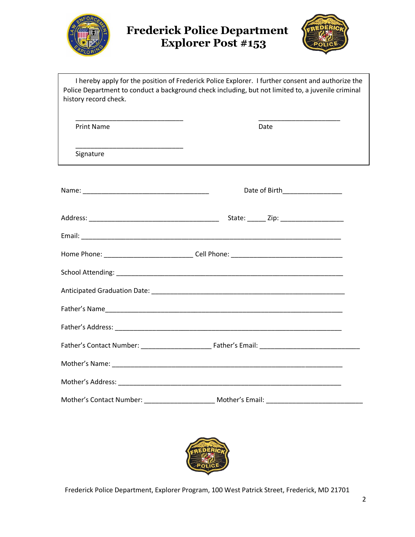



| history record check.                                                                   | I hereby apply for the position of Frederick Police Explorer. I further consent and authorize the<br>Police Department to conduct a background check including, but not limited to, a juvenile criminal |  |
|-----------------------------------------------------------------------------------------|---------------------------------------------------------------------------------------------------------------------------------------------------------------------------------------------------------|--|
| <b>Print Name</b>                                                                       | Date                                                                                                                                                                                                    |  |
| the control of the control of the control of the control of the control of<br>Signature |                                                                                                                                                                                                         |  |
|                                                                                         | Date of Birth___________________                                                                                                                                                                        |  |
|                                                                                         |                                                                                                                                                                                                         |  |
|                                                                                         |                                                                                                                                                                                                         |  |
|                                                                                         |                                                                                                                                                                                                         |  |
|                                                                                         |                                                                                                                                                                                                         |  |
|                                                                                         |                                                                                                                                                                                                         |  |
|                                                                                         |                                                                                                                                                                                                         |  |
|                                                                                         |                                                                                                                                                                                                         |  |
|                                                                                         |                                                                                                                                                                                                         |  |
|                                                                                         |                                                                                                                                                                                                         |  |
|                                                                                         |                                                                                                                                                                                                         |  |
|                                                                                         | Mother's Email:                                                                                                                                                                                         |  |

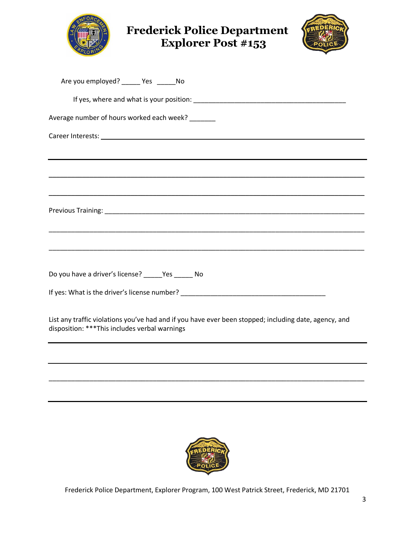



| Are you employed? _____ Yes ______No                                                                                                                    |
|---------------------------------------------------------------------------------------------------------------------------------------------------------|
|                                                                                                                                                         |
| Average number of hours worked each week? ______                                                                                                        |
|                                                                                                                                                         |
|                                                                                                                                                         |
| ,我们也不会有什么。""我们的人,我们也不会有什么?""我们的人,我们也不会有什么?""我们的人,我们也不会有什么?""我们的人,我们也不会有什么?""我们的人                                                                        |
|                                                                                                                                                         |
|                                                                                                                                                         |
|                                                                                                                                                         |
|                                                                                                                                                         |
|                                                                                                                                                         |
| Do you have a driver's license? _____Yes ______ No                                                                                                      |
|                                                                                                                                                         |
| List any traffic violations you've had and if you have ever been stopped; including date, agency, and<br>disposition: *** This includes verbal warnings |
|                                                                                                                                                         |
|                                                                                                                                                         |



\_\_\_\_\_\_\_\_\_\_\_\_\_\_\_\_\_\_\_\_\_\_\_\_\_\_\_\_\_\_\_\_\_\_\_\_\_\_\_\_\_\_\_\_\_\_\_\_\_\_\_\_\_\_\_\_\_\_\_\_\_\_\_\_\_\_\_\_\_\_\_\_\_\_\_\_\_\_\_\_\_\_\_\_\_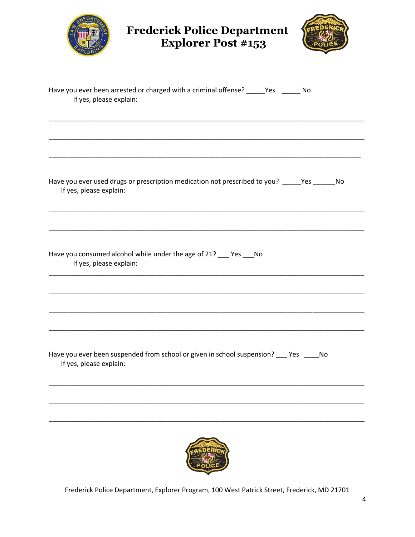| <b>Frederick Police Department</b><br><b>Explorer Post #153</b>                                                            |  |  |  |  |
|----------------------------------------------------------------------------------------------------------------------------|--|--|--|--|
| Have you ever been arrested or charged with a criminal offense? _____Yes ______ No<br>If yes, please explain:              |  |  |  |  |
|                                                                                                                            |  |  |  |  |
| Have you ever used drugs or prescription medication not prescribed to you? ______ Yes ______ No<br>If yes, please explain: |  |  |  |  |
|                                                                                                                            |  |  |  |  |
| Have you consumed alcohol while under the age of 21? __ Yes __ No<br>If yes, please explain:                               |  |  |  |  |
|                                                                                                                            |  |  |  |  |
|                                                                                                                            |  |  |  |  |
|                                                                                                                            |  |  |  |  |
| Have you ever been suspended from school or given in school suspension? ___ Yes ____No<br>If yes, please explain:          |  |  |  |  |
|                                                                                                                            |  |  |  |  |

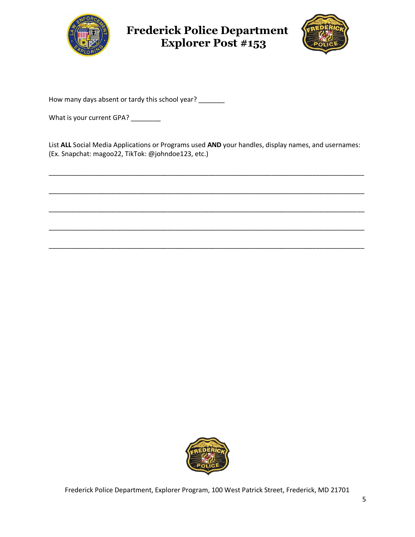



How many days absent or tardy this school year? \_\_\_\_\_\_

What is your current GPA? \_\_\_\_\_\_\_\_

List **ALL** Social Media Applications or Programs used **AND** your handles, display names, and usernames: (Ex. Snapchat: magoo22, TikTok: @johndoe123, etc.)

\_\_\_\_\_\_\_\_\_\_\_\_\_\_\_\_\_\_\_\_\_\_\_\_\_\_\_\_\_\_\_\_\_\_\_\_\_\_\_\_\_\_\_\_\_\_\_\_\_\_\_\_\_\_\_\_\_\_\_\_\_\_\_\_\_\_\_\_\_\_\_\_\_\_\_\_\_\_\_\_\_\_\_\_\_

\_\_\_\_\_\_\_\_\_\_\_\_\_\_\_\_\_\_\_\_\_\_\_\_\_\_\_\_\_\_\_\_\_\_\_\_\_\_\_\_\_\_\_\_\_\_\_\_\_\_\_\_\_\_\_\_\_\_\_\_\_\_\_\_\_\_\_\_\_\_\_\_\_\_\_\_\_\_\_\_\_\_\_\_\_

\_\_\_\_\_\_\_\_\_\_\_\_\_\_\_\_\_\_\_\_\_\_\_\_\_\_\_\_\_\_\_\_\_\_\_\_\_\_\_\_\_\_\_\_\_\_\_\_\_\_\_\_\_\_\_\_\_\_\_\_\_\_\_\_\_\_\_\_\_\_\_\_\_\_\_\_\_\_\_\_\_\_\_\_\_

\_\_\_\_\_\_\_\_\_\_\_\_\_\_\_\_\_\_\_\_\_\_\_\_\_\_\_\_\_\_\_\_\_\_\_\_\_\_\_\_\_\_\_\_\_\_\_\_\_\_\_\_\_\_\_\_\_\_\_\_\_\_\_\_\_\_\_\_\_\_\_\_\_\_\_\_\_\_\_\_\_\_\_\_\_

\_\_\_\_\_\_\_\_\_\_\_\_\_\_\_\_\_\_\_\_\_\_\_\_\_\_\_\_\_\_\_\_\_\_\_\_\_\_\_\_\_\_\_\_\_\_\_\_\_\_\_\_\_\_\_\_\_\_\_\_\_\_\_\_\_\_\_\_\_\_\_\_\_\_\_\_\_\_\_\_\_\_\_\_\_

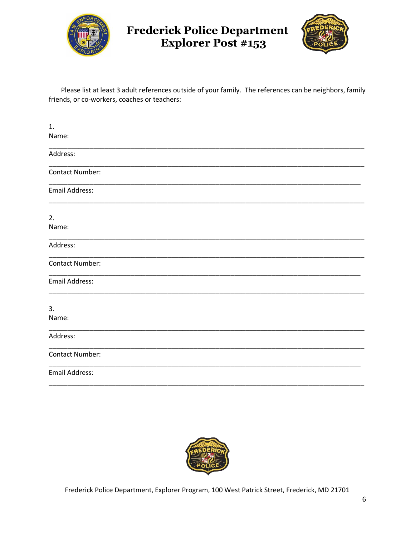



Please list at least 3 adult references outside of your family. The references can be neighbors, family friends, or co-workers, coaches or teachers:

| 1.                     |  |
|------------------------|--|
| Name:                  |  |
| Address:               |  |
| <b>Contact Number:</b> |  |
| Email Address:         |  |
| 2.                     |  |
| Name:                  |  |
| Address:               |  |
| <b>Contact Number:</b> |  |
| Email Address:         |  |
| 3.                     |  |
| Name:                  |  |
| Address:               |  |
| <b>Contact Number:</b> |  |
| <b>Email Address:</b>  |  |